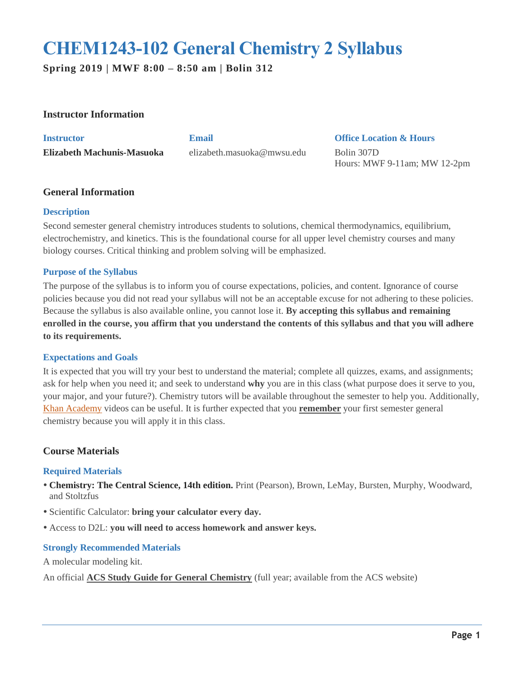# **CHEM1243-102 General Chemistry 2 Syllabus**

**Spring 2019 | MWF 8:00 – 8:50 am | Bolin 312**

# **Instructor Information**

**Instructor Email Office Location & Hours Elizabeth Machunis-Masuoka** elizabeth.masuoka@mwsu.edu Bolin 307D

Hours: MWF 9-11am; MW 12-2pm

# **General Information**

# **Description**

Second semester general chemistry introduces students to solutions, chemical thermodynamics, equilibrium, electrochemistry, and kinetics. This is the foundational course for all upper level chemistry courses and many biology courses. Critical thinking and problem solving will be emphasized.

# **Purpose of the Syllabus**

The purpose of the syllabus is to inform you of course expectations, policies, and content. Ignorance of course policies because you did not read your syllabus will not be an acceptable excuse for not adhering to these policies. Because the syllabus is also available online, you cannot lose it. **By accepting this syllabus and remaining enrolled in the course, you affirm that you understand the contents of this syllabus and that you will adhere to its requirements.**

#### **Expectations and Goals**

It is expected that you will try your best to understand the material; complete all quizzes, exams, and assignments; ask for help when you need it; and seek to understand **why** you are in this class (what purpose does it serve to you, your major, and your future?). Chemistry tutors will be available throughout the semester to help you. Additionally, [Khan Academy](https://www.khanacademy.org/science/chemistry) videos can be useful. It is further expected that you **remember** your first semester general chemistry because you will apply it in this class.

# **Course Materials**

#### **Required Materials**

- **Chemistry: The Central Science, 14th edition.** Print (Pearson), Brown, LeMay, Bursten, Murphy, Woodward, and Stoltzfus
- Scientific Calculator: **bring your calculator every day.**
- Access to D2L: **you will need to access homework and answer keys.**

# **Strongly Recommended Materials**

A molecular modeling kit.

An official **ACS Study Guide for General Chemistry** (full year; available from the ACS website)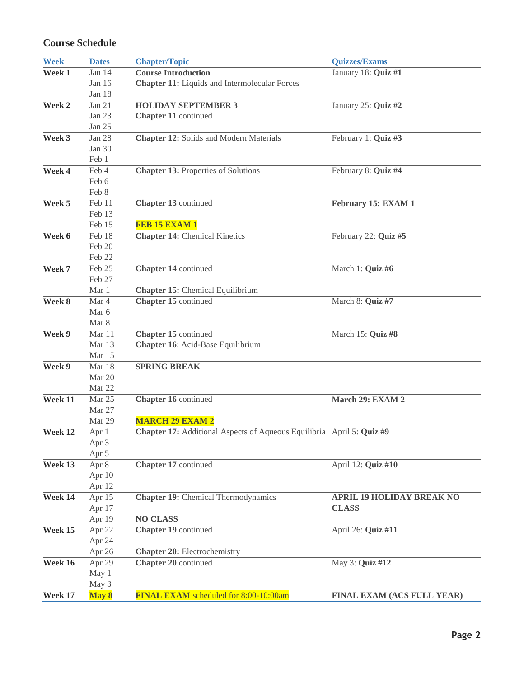# **Course Schedule**

| <b>Week</b> | <b>Dates</b>       | <b>Chapter/Topic</b>                                                  | <b>Quizzes/Exams</b>             |
|-------------|--------------------|-----------------------------------------------------------------------|----------------------------------|
| Week 1      | Jan 14             | <b>Course Introduction</b>                                            | January 18: Quiz #1              |
|             | Jan 16             | <b>Chapter 11:</b> Liquids and Intermolecular Forces                  |                                  |
|             | Jan 18             |                                                                       |                                  |
| Week 2      | Jan 21             | <b>HOLIDAY SEPTEMBER 3</b>                                            | January 25: Quiz #2              |
|             | Jan 23             | Chapter 11 continued                                                  |                                  |
|             | Jan 25             |                                                                       |                                  |
| Week 3      | Jan 28             | <b>Chapter 12: Solids and Modern Materials</b>                        | February 1: Quiz #3              |
|             | Jan 30             |                                                                       |                                  |
|             | Feb 1              |                                                                       |                                  |
| Week 4      | Feb 4              | <b>Chapter 13: Properties of Solutions</b>                            | February 8: Quiz #4              |
|             | Feb 6              |                                                                       |                                  |
|             | Feb 8              |                                                                       |                                  |
| Week 5      | Feb 11             | Chapter 13 continued                                                  | February 15: EXAM 1              |
|             | Feb 13             |                                                                       |                                  |
|             | Feb 15             | FEB 15 EXAM 1                                                         |                                  |
| Week 6      | Feb 18             | <b>Chapter 14: Chemical Kinetics</b>                                  | February 22: Quiz #5             |
|             | Feb 20             |                                                                       |                                  |
|             | Feb 22             |                                                                       |                                  |
| Week 7      | Feb 25             | Chapter 14 continued                                                  | March 1: Quiz #6                 |
|             | Feb 27             |                                                                       |                                  |
|             | Mar 1              | <b>Chapter 15: Chemical Equilibrium</b>                               |                                  |
| Week 8      | Mar 4              | Chapter 15 continued                                                  | March 8: Quiz #7                 |
|             | Mar 6              |                                                                       |                                  |
|             | Mar 8              |                                                                       |                                  |
| Week 9      | Mar 11             | Chapter 15 continued                                                  | March 15: Quiz #8                |
|             | Mar 13             | Chapter 16: Acid-Base Equilibrium                                     |                                  |
|             | Mar 15             |                                                                       |                                  |
| Week 9      | Mar 18             | <b>SPRING BREAK</b>                                                   |                                  |
|             | Mar 20             |                                                                       |                                  |
|             | Mar 22             |                                                                       |                                  |
| Week 11     | Mar 25             | Chapter 16 continued                                                  | March 29: EXAM 2                 |
|             | Mar 27             |                                                                       |                                  |
|             | Mar 29             | <b>MARCH 29 EXAM 2</b>                                                |                                  |
| Week 12     | Apr 1              | Chapter 17: Additional Aspects of Aqueous Equilibria April 5: Quiz #9 |                                  |
|             | Apr 3              |                                                                       |                                  |
|             | Apr 5              |                                                                       |                                  |
| Week 13     | Apr $\overline{8}$ | Chapter 17 continued                                                  | April 12: Quiz #10               |
|             | Apr 10             |                                                                       |                                  |
|             | Apr 12             |                                                                       |                                  |
| Week 14     | Apr 15             | <b>Chapter 19:</b> Chemical Thermodynamics                            | <b>APRIL 19 HOLIDAY BREAK NO</b> |
|             | Apr 17             | <b>NO CLASS</b>                                                       | <b>CLASS</b>                     |
| Week 15     | Apr 19             |                                                                       |                                  |
|             | Apr 22<br>Apr 24   | Chapter 19 continued                                                  | April 26: Quiz #11               |
|             |                    |                                                                       |                                  |
| Week 16     | Apr 26             | <b>Chapter 20:</b> Electrochemistry                                   | May 3: Quiz #12                  |
|             | Apr 29<br>May 1    | Chapter 20 continued                                                  |                                  |
|             | May 3              |                                                                       |                                  |
| Week 17     |                    | FINAL EXAM scheduled for 8:00-10:00am                                 |                                  |
|             | May 8              |                                                                       | FINAL EXAM (ACS FULL YEAR)       |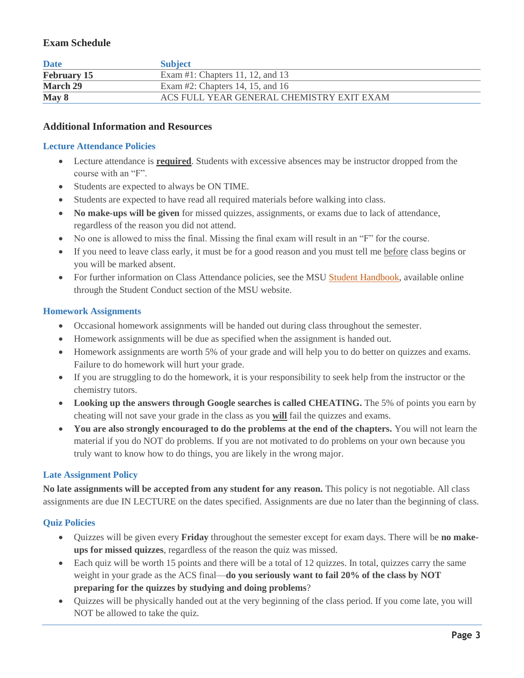# **Exam Schedule**

| <b>Date</b>        | <b>Subject</b>                            |
|--------------------|-------------------------------------------|
| <b>February 15</b> | Exam #1: Chapters 11, 12, and 13          |
| <b>March 29</b>    | Exam #2: Chapters 14, 15, and 16          |
| May 8              | ACS FULL YEAR GENERAL CHEMISTRY EXIT EXAM |

# **Additional Information and Resources**

## **Lecture Attendance Policies**

- Lecture attendance is **required**. Students with excessive absences may be instructor dropped from the course with an "F".
- Students are expected to always be ON TIME.
- Students are expected to have read all required materials before walking into class.
- **No make-ups will be given** for missed quizzes, assignments, or exams due to lack of attendance, regardless of the reason you did not attend.
- No one is allowed to miss the final. Missing the final exam will result in an "F" for the course.
- If you need to leave class early, it must be for a good reason and you must tell me before class begins or you will be marked absent.
- For further information on Class Attendance policies, see the MSU [Student Handbook,](https://mwsu.edu/student-life/conduct/) available online through the Student Conduct section of the MSU website.

#### **Homework Assignments**

- Occasional homework assignments will be handed out during class throughout the semester.
- Homework assignments will be due as specified when the assignment is handed out.
- Homework assignments are worth 5% of your grade and will help you to do better on quizzes and exams. Failure to do homework will hurt your grade.
- If you are struggling to do the homework, it is your responsibility to seek help from the instructor or the chemistry tutors.
- **Looking up the answers through Google searches is called CHEATING.** The 5% of points you earn by cheating will not save your grade in the class as you **will** fail the quizzes and exams.
- **You are also strongly encouraged to do the problems at the end of the chapters.** You will not learn the material if you do NOT do problems. If you are not motivated to do problems on your own because you truly want to know how to do things, you are likely in the wrong major.

#### **Late Assignment Policy**

**No late assignments will be accepted from any student for any reason.** This policy is not negotiable. All class assignments are due IN LECTURE on the dates specified. Assignments are due no later than the beginning of class.

#### **Quiz Policies**

- Quizzes will be given every **Friday** throughout the semester except for exam days. There will be **no makeups for missed quizzes**, regardless of the reason the quiz was missed.
- Each quiz will be worth 15 points and there will be a total of 12 quizzes. In total, quizzes carry the same weight in your grade as the ACS final—**do you seriously want to fail 20% of the class by NOT preparing for the quizzes by studying and doing problems**?
- Quizzes will be physically handed out at the very beginning of the class period. If you come late, you will NOT be allowed to take the quiz.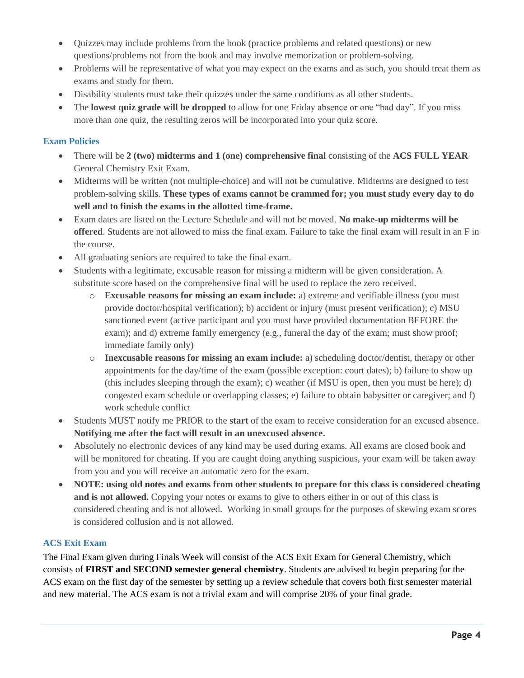- Quizzes may include problems from the book (practice problems and related questions) or new questions/problems not from the book and may involve memorization or problem-solving.
- Problems will be representative of what you may expect on the exams and as such, you should treat them as exams and study for them.
- Disability students must take their quizzes under the same conditions as all other students.
- The **lowest quiz grade will be dropped** to allow for one Friday absence or one "bad day". If you miss more than one quiz, the resulting zeros will be incorporated into your quiz score.

# **Exam Policies**

- There will be **2 (two) midterms and 1 (one) comprehensive final** consisting of the **ACS FULL YEAR** General Chemistry Exit Exam.
- Midterms will be written (not multiple-choice) and will not be cumulative. Midterms are designed to test problem-solving skills. **These types of exams cannot be crammed for; you must study every day to do well and to finish the exams in the allotted time-frame.**
- Exam dates are listed on the Lecture Schedule and will not be moved. **No make-up midterms will be offered**. Students are not allowed to miss the final exam. Failure to take the final exam will result in an F in the course.
- All graduating seniors are required to take the final exam.
- Students with a legitimate, excusable reason for missing a midterm will be given consideration. A substitute score based on the comprehensive final will be used to replace the zero received.
	- o **Excusable reasons for missing an exam include:** a) extreme and verifiable illness (you must provide doctor/hospital verification); b) accident or injury (must present verification); c) MSU sanctioned event (active participant and you must have provided documentation BEFORE the exam); and d) extreme family emergency (e.g., funeral the day of the exam; must show proof; immediate family only)
	- o **Inexcusable reasons for missing an exam include:** a) scheduling doctor/dentist, therapy or other appointments for the day/time of the exam (possible exception: court dates); b) failure to show up (this includes sleeping through the exam); c) weather (if MSU is open, then you must be here); d) congested exam schedule or overlapping classes; e) failure to obtain babysitter or caregiver; and f) work schedule conflict
- Students MUST notify me PRIOR to the **start** of the exam to receive consideration for an excused absence. **Notifying me after the fact will result in an unexcused absence.**
- Absolutely no electronic devices of any kind may be used during exams. All exams are closed book and will be monitored for cheating. If you are caught doing anything suspicious, your exam will be taken away from you and you will receive an automatic zero for the exam.
- **NOTE: using old notes and exams from other students to prepare for this class is considered cheating and is not allowed.** Copying your notes or exams to give to others either in or out of this class is considered cheating and is not allowed. Working in small groups for the purposes of skewing exam scores is considered collusion and is not allowed.

# **ACS Exit Exam**

The Final Exam given during Finals Week will consist of the ACS Exit Exam for General Chemistry, which consists of **FIRST and SECOND semester general chemistry**. Students are advised to begin preparing for the ACS exam on the first day of the semester by setting up a review schedule that covers both first semester material and new material. The ACS exam is not a trivial exam and will comprise 20% of your final grade.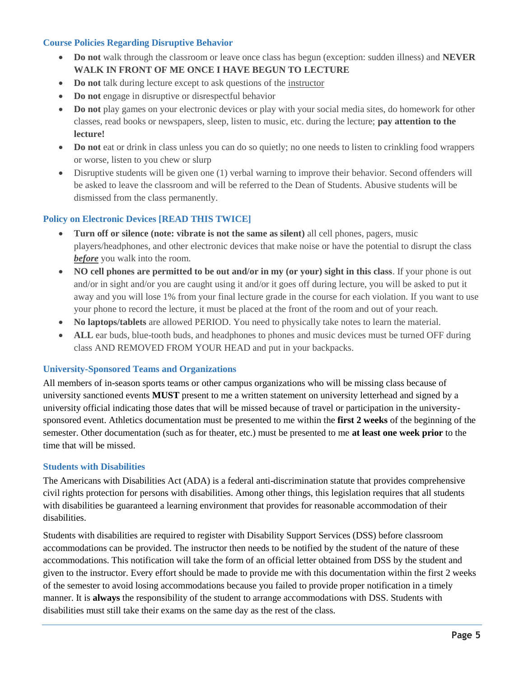# **Course Policies Regarding Disruptive Behavior**

- **Do not** walk through the classroom or leave once class has begun (exception: sudden illness) and **NEVER WALK IN FRONT OF ME ONCE I HAVE BEGUN TO LECTURE**
- **Do not** talk during lecture except to ask questions of the instructor
- **Do not** engage in disruptive or disrespectful behavior
- **Do not** play games on your electronic devices or play with your social media sites, do homework for other classes, read books or newspapers, sleep, listen to music, etc. during the lecture; **pay attention to the lecture!**
- Do not eat or drink in class unless you can do so quietly; no one needs to listen to crinkling food wrappers or worse, listen to you chew or slurp
- Disruptive students will be given one (1) verbal warning to improve their behavior. Second offenders will be asked to leave the classroom and will be referred to the Dean of Students. Abusive students will be dismissed from the class permanently.

# **Policy on Electronic Devices [READ THIS TWICE]**

- **Turn off or silence (note: vibrate is not the same as silent)** all cell phones, pagers, music players/headphones, and other electronic devices that make noise or have the potential to disrupt the class *before* you walk into the room.
- **NO cell phones are permitted to be out and/or in my (or your) sight in this class**. If your phone is out and/or in sight and/or you are caught using it and/or it goes off during lecture, you will be asked to put it away and you will lose 1% from your final lecture grade in the course for each violation. If you want to use your phone to record the lecture, it must be placed at the front of the room and out of your reach.
- **No laptops/tablets** are allowed PERIOD. You need to physically take notes to learn the material.
- ALL ear buds, blue-tooth buds, and headphones to phones and music devices must be turned OFF during class AND REMOVED FROM YOUR HEAD and put in your backpacks.

#### **University-Sponsored Teams and Organizations**

All members of in-season sports teams or other campus organizations who will be missing class because of university sanctioned events **MUST** present to me a written statement on university letterhead and signed by a university official indicating those dates that will be missed because of travel or participation in the universitysponsored event. Athletics documentation must be presented to me within the **first 2 weeks** of the beginning of the semester. Other documentation (such as for theater, etc.) must be presented to me **at least one week prior** to the time that will be missed.

#### **Students with Disabilities**

The Americans with Disabilities Act (ADA) is a federal anti-discrimination statute that provides comprehensive civil rights protection for persons with disabilities. Among other things, this legislation requires that all students with disabilities be guaranteed a learning environment that provides for reasonable accommodation of their disabilities.

Students with disabilities are required to register with Disability Support Services (DSS) before classroom accommodations can be provided. The instructor then needs to be notified by the student of the nature of these accommodations. This notification will take the form of an official letter obtained from DSS by the student and given to the instructor. Every effort should be made to provide me with this documentation within the first 2 weeks of the semester to avoid losing accommodations because you failed to provide proper notification in a timely manner. It is **always** the responsibility of the student to arrange accommodations with DSS. Students with disabilities must still take their exams on the same day as the rest of the class.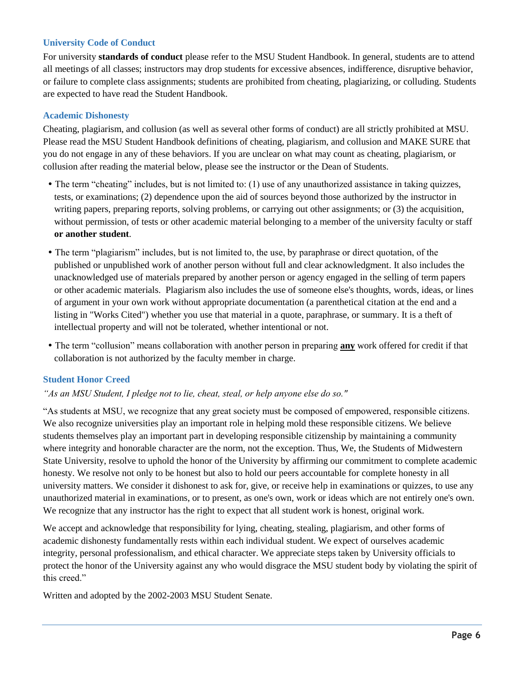# **University Code of Conduct**

For university **standards of conduct** please refer to the MSU Student Handbook. In general, students are to attend all meetings of all classes; instructors may drop students for excessive absences, indifference, disruptive behavior, or failure to complete class assignments; students are prohibited from cheating, plagiarizing, or colluding. Students are expected to have read the Student Handbook.

# **Academic Dishonesty**

Cheating, plagiarism, and collusion (as well as several other forms of conduct) are all strictly prohibited at MSU. Please read the MSU Student Handbook definitions of cheating, plagiarism, and collusion and MAKE SURE that you do not engage in any of these behaviors. If you are unclear on what may count as cheating, plagiarism, or collusion after reading the material below, please see the instructor or the Dean of Students.

- The term "cheating" includes, but is not limited to: (1) use of any unauthorized assistance in taking quizzes, tests, or examinations; (2) dependence upon the aid of sources beyond those authorized by the instructor in writing papers, preparing reports, solving problems, or carrying out other assignments; or (3) the acquisition, without permission, of tests or other academic material belonging to a member of the university faculty or staff **or another student**.
- The term "plagiarism" includes, but is not limited to, the use, by paraphrase or direct quotation, of the published or unpublished work of another person without full and clear acknowledgment. It also includes the unacknowledged use of materials prepared by another person or agency engaged in the selling of term papers or other academic materials. Plagiarism also includes the use of someone else's thoughts, words, ideas, or lines of argument in your own work without appropriate documentation (a parenthetical citation at the end and a listing in "Works Cited") whether you use that material in a quote, paraphrase, or summary. It is a theft of intellectual property and will not be tolerated, whether intentional or not.
- The term "collusion" means collaboration with another person in preparing **any** work offered for credit if that collaboration is not authorized by the faculty member in charge.

#### **Student Honor Creed**

## *"As an MSU Student, I pledge not to lie, cheat, steal, or help anyone else do so."*

"As students at MSU, we recognize that any great society must be composed of empowered, responsible citizens. We also recognize universities play an important role in helping mold these responsible citizens. We believe students themselves play an important part in developing responsible citizenship by maintaining a community where integrity and honorable character are the norm, not the exception. Thus, We, the Students of Midwestern State University, resolve to uphold the honor of the University by affirming our commitment to complete academic honesty. We resolve not only to be honest but also to hold our peers accountable for complete honesty in all university matters. We consider it dishonest to ask for, give, or receive help in examinations or quizzes, to use any unauthorized material in examinations, or to present, as one's own, work or ideas which are not entirely one's own. We recognize that any instructor has the right to expect that all student work is honest, original work.

We accept and acknowledge that responsibility for lying, cheating, stealing, plagiarism, and other forms of academic dishonesty fundamentally rests within each individual student. We expect of ourselves academic integrity, personal professionalism, and ethical character. We appreciate steps taken by University officials to protect the honor of the University against any who would disgrace the MSU student body by violating the spirit of this creed."

Written and adopted by the 2002-2003 MSU Student Senate.